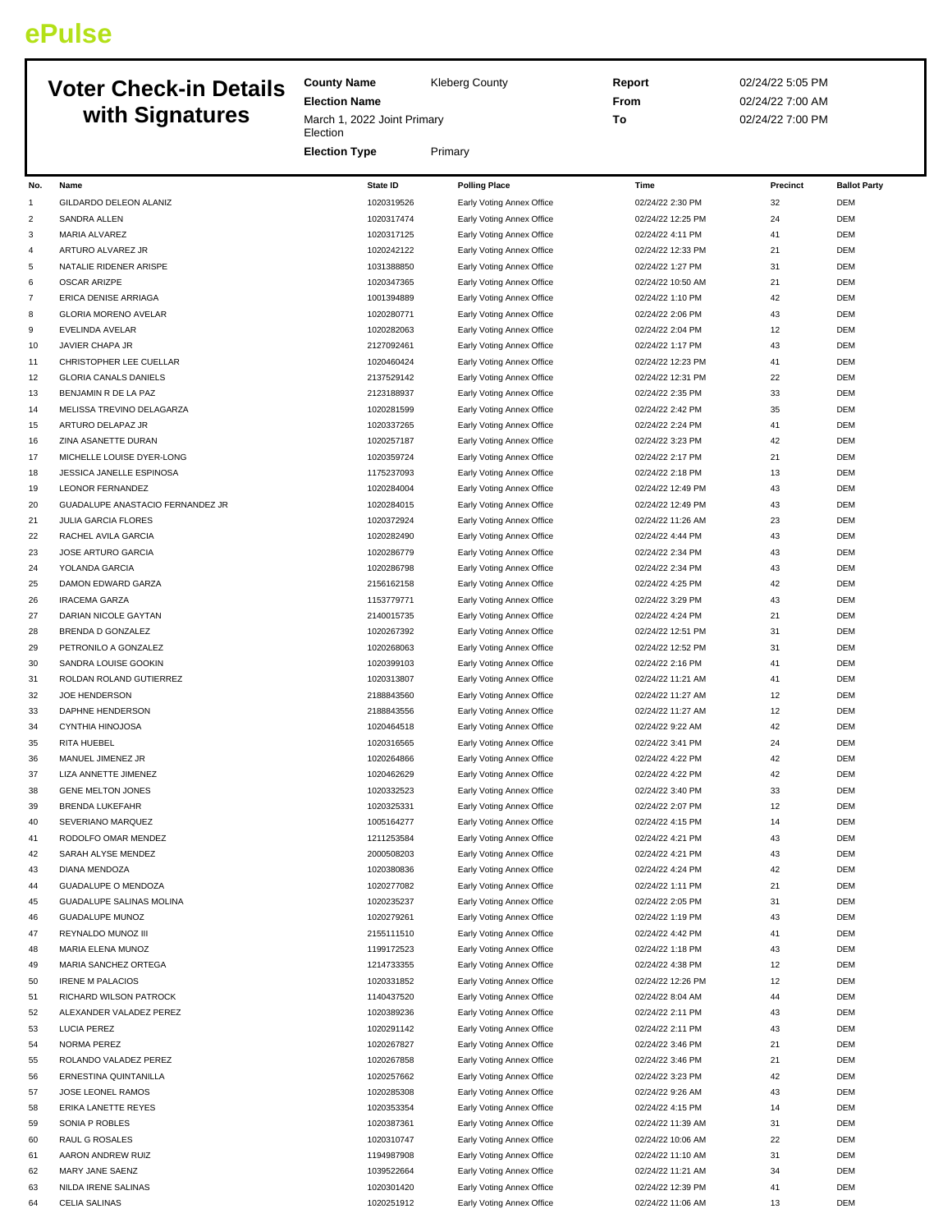## **ePulse**

## **Voter Check-in Details with Signatures**

**County Name** Kleberg County **Election Name** March 1, 2022 Joint Primary Election **Election Type** Primary **Report** 02/24/22 5:05 PM **From** 02/24/22 7:00 AM **To** 02/24/22 7:00 PM **No. Name State ID Polling Place Time Precinct Ballot Party** 1 GILDARDO DELEON ALANIZ 1020319526 Early Voting Annex Office 02/24/22 2:30 PM 32 DEM 2 SANDRA ALLEN 1020317474 1020317474 Early Voting Annex Office 02/24/22 12:25 PM 24 DEM 3 MARIA ALVAREZ 1020317125 Early Voting Annex Office 02/24/22 4:11 PM 41 DEM ARTURO ALVAREZ JR 1020242122 Early Voting Annex Office 02/24/22 12:33 PM 21 DEM 5 NATALIE RIDENER ARISPE 1031388950 1031388850 Early Voting Annex Office 102/24/22 1:27 PM 31 DEM 6 OSCAR ARIZPE 1020347365 Early Voting Annex Office 02/24/22 10:50 AM 21 DEM 7 ERICA DENISE ARRIAGA 1001394889 1001394889 Early Voting Annex Office 102/24/22 1:10 PM 42 DEM 8 GLORIA MORENO AVELAR 1020280771 Early Voting Annex Office 02/24/22 2:06 PM 43 DEM 9 EVELINDA AVELAR 1020282063 Early Voting Annex Office 02/24/22 2:04 PM 12 DEM 10 JAVIER CHAPA JR 2127092461 Early Voting Annex Office 02/24/22 1:17 PM 43 DEM 11 CHRISTOPHER LEE CUELLAR 1020460424 Early Voting Annex Office 02/24/22 12:23 PM 41 DEM 12 GLORIA CANALS DANIELS 2137529142 Early Voting Annex Office 02/24/22 12:31 PM 22 DEM 13 BENJAMIN R DE LA PAZ 2123188937 Early Voting Annex Office 02/24/22 2:35 PM 33 DEM 14 MELISSA TREVINO DELAGARZA **1020281599** 1020281599 Early Voting Annex Office 02/24/22 2:42 PM 35 DEM 15 ARTURO DELAPAZ JR 1020337265 Early Voting Annex Office 02/24/22 2:24 PM 41 DEM 16 ZINA ASANETTE DURAN 1020257187 Early Voting Annex Office 02/24/22 3:23 PM 42 DEM 17 MICHELLE LOUISE DYER-LONG 1020359724 Early Voting Annex Office 02/24/22 2:17 PM 21 DEM 18 JESSICA JANELLE ESPINOSA 1175237093 Early Voting Annex Office 02/24/22 2:18 PM 13 DEM 19 LEONOR FERNANDEZ 1020284004 Early Voting Annex Office 02/24/22 12:49 PM 43 DEM

 GUADALUPE ANASTACIO FERNANDEZ JR 1020284015 Early Voting Annex Office 02/24/22 12:49 PM 43 DEM JULIA GARCIA FLORES 1020372924 Early Voting Annex Office 02/24/22 11:26 AM 23 DEM RACHEL AVILA GARCIA 1020282490 Early Voting Annex Office 02/24/22 4:44 PM 43 DEM JOSE ARTURO GARCIA 1020286779 Early Voting Annex Office 02/24/22 2:34 PM 43 DEM YOLANDA GARCIA 1020286798 Early Voting Annex Office 02/24/22 2:34 PM 43 DEM DAMON EDWARD GARZA 2156162158 Early Voting Annex Office 02/24/22 4:25 PM 42 DEM

 IRACEMA GARZA 1153779771 Early Voting Annex Office 02/24/22 3:29 PM 43 DEM DARIAN NICOLE GAYTAN 2140015735 Early Voting Annex Office 02/24/22 4:24 PM 21 DEM 28 BRENDA D GONZALEZ **1020267392** Early Voting Annex Office **102/24/22 12:51 PM** 31 DEM 29 PETRONILO A GONZALEZ 2002 2020 1020268063 Early Voting Annex Office 202/24/22 12:52 PM 31 DEM SANDRA LOUISE GOOKIN 1020399103 Early Voting Annex Office 02/24/22 2:16 PM 41 DEM 31 ROLDAN ROLAND GUTIERREZ **1020313807** Early Voting Annex Office 02/24/22 11:21 AM 41 DEM JOE HENDERSON 2188843560 Early Voting Annex Office 02/24/22 11:27 AM 12 DEM DAPHNE HENDERSON 2188843556 Early Voting Annex Office 02/24/22 11:27 AM 12 DEM CYNTHIA HINOJOSA 1020464518 Early Voting Annex Office 02/24/22 9:22 AM 42 DEM RITA HUEBEL 1020316565 Early Voting Annex Office 02/24/22 3:41 PM 24 DEM MANUEL JIMENEZ JR 1020264866 Early Voting Annex Office 02/24/22 4:22 PM 42 DEM 37 LIZA ANNETTE JIMENEZ **102012 1020462629** Early Voting Annex Office 02/24/22 4:22 PM 42 DEM

38 GENE MELTON JONES 1020332523 Early Voting Annex Office 02/24/22 3:40 PM 33 DEM 39 BRENDA LUKEFAHR 1020325331 Early Voting Annex Office 02/24/22 2:07 PM 12 DEM 40 SEVERIANO MARQUEZ **1005164277** Early Voting Annex Office 02/24/22 4:15 PM 14 DEM 41 RODOLFO OMAR MENDEZ **1211253584** Early Voting Annex Office **121253584** Early Voting Annex Office 1212/24/22 4:21 PM 43 DEM 42 SARAH ALYSE MENDEZ 2000508203 Early Voting Annex Office 02/24/22 4:21 PM 43 DEM 43 DIANA MENDOZA 1020380836 Early Voting Annex Office 02/24/22 4:24 PM 42 DEM 44 GUADALUPE O MENDOZA 1020 1020277082 Early Voting Annex Office 02/24/22 1:11 PM 21 DEM

45 GUADALUPE SALINAS MOLINA 1020235237 Early Voting Annex Office 02/24/22 2:05 PM 31 DEM 46 GUADALUPE MUNOZ 1020279261 Early Voting Annex Office 02/24/22 1:19 PM 43 DEM

47 REYNALDO MUNOZ III 2011 2002 2004 2004 2005 2006 20111510 Early Voting Annex Office 2012 4:42 PM 41 DEM

48 MARIA ELENA MUNOZ 1199172523 Early Voting Annex Office 02/24/22 1:18 PM 43 DEM 49 MARIA SANCHEZ ORTEGA 1214733355 Early Voting Annex Office 02/24/22 4:38 PM 12 DEM 50 IRENE M PALACIOS 1020331852 Early Voting Annex Office 02/24/22 12:26 PM 12 DEM

51 RICHARD WILSON PATROCK **1150 CHARD 1140437520** Early Voting Annex Office 02/24/22 8:04 AM 44 DEM

52 ALEXANDER VALADEZ PEREZ 10200399236 1020389236 Early Voting Annex Office 102/24/22 2:11 PM 43 DEM

53 LUCIA PEREZ 2011 200291142 Early Voting Annex Office 302/24/22 2:11 PM 43 DEM

54 NORMA PEREZ 2002 1020267827 Early Voting Annex Office 23:46 PM 21 DEM 20124/22 3:46 PM 21 55 ROLANDO VALADEZ PEREZ **1020 PEREMICHE 2020** 1020267858 Early Voting Annex Office 02/24/22 3:46 PM 21 DEM

56 ERNESTINA QUINTANILLA 1020257662 Early Voting Annex Office 02/24/22 3:23 PM 42 DEM

57 JOSE LEONEL RAMOS **1020285308** Early Voting Annex Office 02/24/22 9:26 AM 43 DEM

58 ERIKA LANETTE REYES 1020353354 Early Voting Annex Office 02/24/22 4:15 PM 14 DEM

59 SONIA P ROBLES **1020387361** 1020387361 Early Voting Annex Office 02/24/22 11:39 AM 31 DEM

60 RAUL G ROSALES 1020310747 Early Voting Annex Office 02/24/22 10:06 AM 22 DEM

61 AARON ANDREW RUIZ 1194087908 Early Voting Annex Office 1992/24/22 11:10 AM 31 DEM

62 MARY JANE SAENZ 1039522664 Early Voting Annex Office 02/24/22 11:21 AM 34 DEM

63 NILDA IRENE SALINAS 1020301420 Early Voting Annex Office 02/24/22 12:39 PM 41 DEM

64 CELIA SALINAS 1020251912 Early Voting Annex Office 02/24/22 11:06 AM 13 DEM